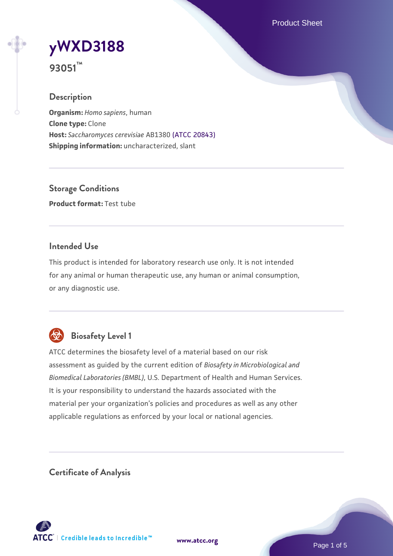Product Sheet

# **[yWXD3188](https://www.atcc.org/products/93051)**

**93051™**

# **Description**

**Organism:** *Homo sapiens*, human **Clone type:** Clone **Host:** *Saccharomyces cerevisiae* AB1380 [\(ATCC 20843\)](https://www.atcc.org/products/20843) **Shipping information:** uncharacterized, slant

**Storage Conditions Product format:** Test tube

### **Intended Use**

This product is intended for laboratory research use only. It is not intended for any animal or human therapeutic use, any human or animal consumption, or any diagnostic use.



# **Biosafety Level 1**

ATCC determines the biosafety level of a material based on our risk assessment as guided by the current edition of *Biosafety in Microbiological and Biomedical Laboratories (BMBL)*, U.S. Department of Health and Human Services. It is your responsibility to understand the hazards associated with the material per your organization's policies and procedures as well as any other applicable regulations as enforced by your local or national agencies.

**Certificate of Analysis**

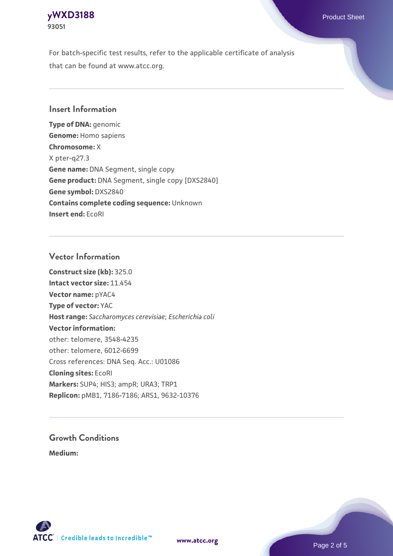

For batch-specific test results, refer to the applicable certificate of analysis that can be found at www.atcc.org.

#### **Insert Information**

**Type of DNA:** genomic **Genome:** Homo sapiens **Chromosome:** X X pter-q27.3 **Gene name:** DNA Segment, single copy **Gene product:** DNA Segment, single copy [DXS2840] **Gene symbol:** DXS2840 **Contains complete coding sequence:** Unknown **Insert end:** EcoRI

#### **Vector Information**

**Construct size (kb):** 325.0 **Intact vector size:** 11.454 **Vector name:** pYAC4 **Type of vector:** YAC **Host range:** *Saccharomyces cerevisiae*; *Escherichia coli* **Vector information:** other: telomere, 3548-4235 other: telomere, 6012-6699 Cross references: DNA Seq. Acc.: U01086 **Cloning sites:** EcoRI **Markers:** SUP4; HIS3; ampR; URA3; TRP1 **Replicon:** pMB1, 7186-7186; ARS1, 9632-10376

# **Growth Conditions**

**Medium:** 



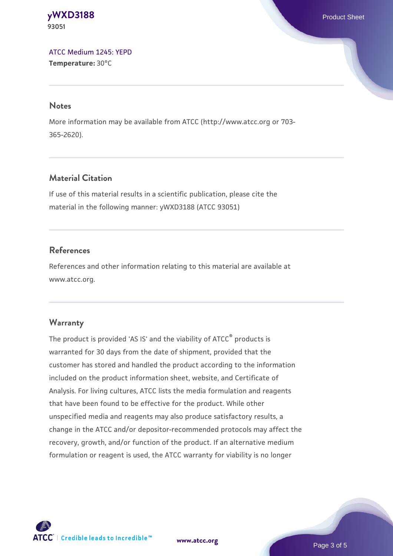**[yWXD3188](https://www.atcc.org/products/93051)** Product Sheet **93051**

[ATCC Medium 1245: YEPD](https://www.atcc.org/-/media/product-assets/documents/microbial-media-formulations/1/2/4/5/atcc-medium-1245.pdf?rev=705ca55d1b6f490a808a965d5c072196) **Temperature:** 30°C

#### **Notes**

More information may be available from ATCC (http://www.atcc.org or 703- 365-2620).

### **Material Citation**

If use of this material results in a scientific publication, please cite the material in the following manner: yWXD3188 (ATCC 93051)

#### **References**

References and other information relating to this material are available at www.atcc.org.

#### **Warranty**

The product is provided 'AS IS' and the viability of ATCC® products is warranted for 30 days from the date of shipment, provided that the customer has stored and handled the product according to the information included on the product information sheet, website, and Certificate of Analysis. For living cultures, ATCC lists the media formulation and reagents that have been found to be effective for the product. While other unspecified media and reagents may also produce satisfactory results, a change in the ATCC and/or depositor-recommended protocols may affect the recovery, growth, and/or function of the product. If an alternative medium formulation or reagent is used, the ATCC warranty for viability is no longer



**[www.atcc.org](http://www.atcc.org)**

Page 3 of 5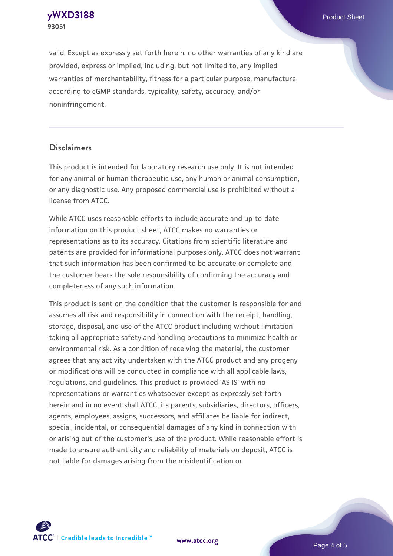**[yWXD3188](https://www.atcc.org/products/93051)** Product Sheet **93051**

valid. Except as expressly set forth herein, no other warranties of any kind are provided, express or implied, including, but not limited to, any implied warranties of merchantability, fitness for a particular purpose, manufacture according to cGMP standards, typicality, safety, accuracy, and/or noninfringement.

#### **Disclaimers**

This product is intended for laboratory research use only. It is not intended for any animal or human therapeutic use, any human or animal consumption, or any diagnostic use. Any proposed commercial use is prohibited without a license from ATCC.

While ATCC uses reasonable efforts to include accurate and up-to-date information on this product sheet, ATCC makes no warranties or representations as to its accuracy. Citations from scientific literature and patents are provided for informational purposes only. ATCC does not warrant that such information has been confirmed to be accurate or complete and the customer bears the sole responsibility of confirming the accuracy and completeness of any such information.

This product is sent on the condition that the customer is responsible for and assumes all risk and responsibility in connection with the receipt, handling, storage, disposal, and use of the ATCC product including without limitation taking all appropriate safety and handling precautions to minimize health or environmental risk. As a condition of receiving the material, the customer agrees that any activity undertaken with the ATCC product and any progeny or modifications will be conducted in compliance with all applicable laws, regulations, and guidelines. This product is provided 'AS IS' with no representations or warranties whatsoever except as expressly set forth herein and in no event shall ATCC, its parents, subsidiaries, directors, officers, agents, employees, assigns, successors, and affiliates be liable for indirect, special, incidental, or consequential damages of any kind in connection with or arising out of the customer's use of the product. While reasonable effort is made to ensure authenticity and reliability of materials on deposit, ATCC is not liable for damages arising from the misidentification or



**[www.atcc.org](http://www.atcc.org)**

Page 4 of 5